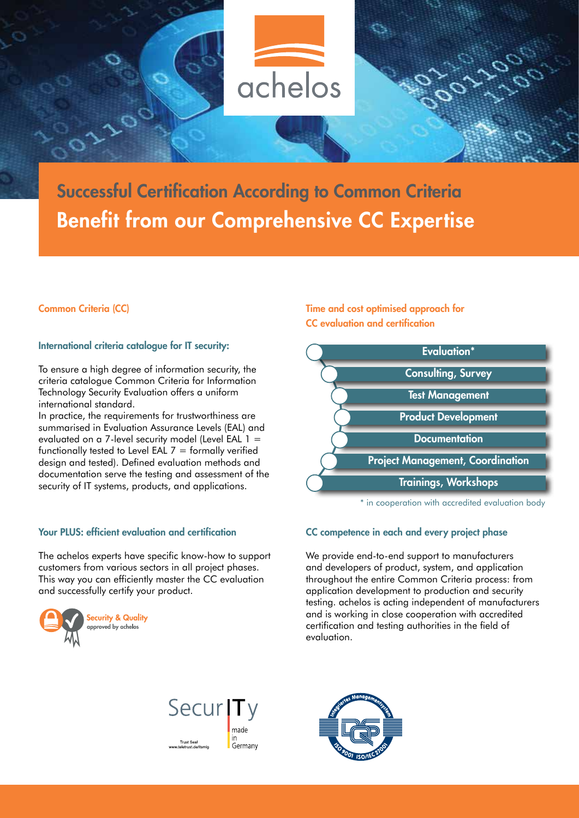

Successful Certification According to Common Criteria Benefit from our Comprehensive CC Expertise

# Common Criteria (CC)

# International criteria catalogue for IT security:

To ensure a high degree of information security, the criteria catalogue Common Criteria for Information Technology Security Evaluation offers a uniform international standard.

In practice, the requirements for trustworthiness are summarised in Evaluation Assurance Levels (EAL) and evaluated on a 7-level security model (Level EAL 1 = functionally tested to Level EAL  $7 =$  formally verified design and tested). Defined evaluation methods and documentation serve the testing and assessment of the security of IT systems, products, and applications.

### Your PLUS: efficient evaluation and certification

The achelos experts have specific know-how to support customers from various sectors in all project phases. This way you can efficiently master the CC evaluation and successfully certify your product.



Time and cost optimised approach for CC evaluation and certification



\* in cooperation with accredited evaluation body

#### CC competence in each and every project phase

We provide end-to-end support to manufacturers and developers of product, system, and application throughout the entire Common Criteria process: from application development to production and security testing. achelos is acting independent of manufacturers and is working in close cooperation with accredited certification and testing authorities in the field of evaluation.



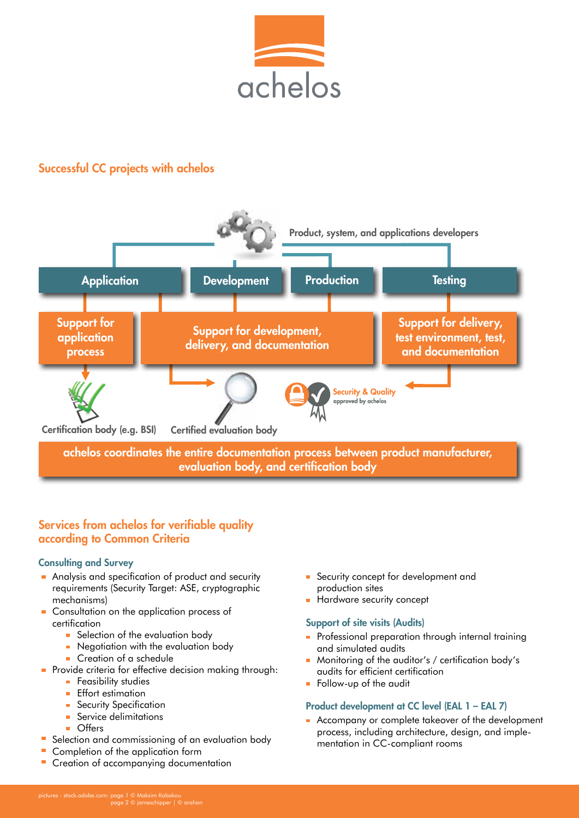

# Successful CC projects with achelos



# Services from achelos for verifiable quality according to Common Criteria

# Consulting and Survey

- Analysis and specification of product and security requirements (Security Target: ASE, cryptographic mechanisms)
- Consultation on the application process of certification
	- Selection of the evaluation body
	- Negotiation with the evaluation body
		- Creation of a schedule
- **Provide criteria for effective decision making through:** 
	- **Feasibility studies**
	- **Effort estimation**
	- **Security Specification**
	- **Service delimitations**
	- **Offers**
- Selection and commissioning of an evaluation body
- Completion of the application form
- Creation of accompanying documentation
- Security concept for development and production sites
- Hardware security concept

# Support of site visits (Audits)

- **Professional preparation through internal training** and simulated audits
- Monitoring of the auditor's / certification body's audits for efficient certification
- Follow-up of the audit

# Product development at CC level (EAL 1 – EAL 7)

Accompany or complete takeover of the development process, including architecture, design, and implementation in CC-compliant rooms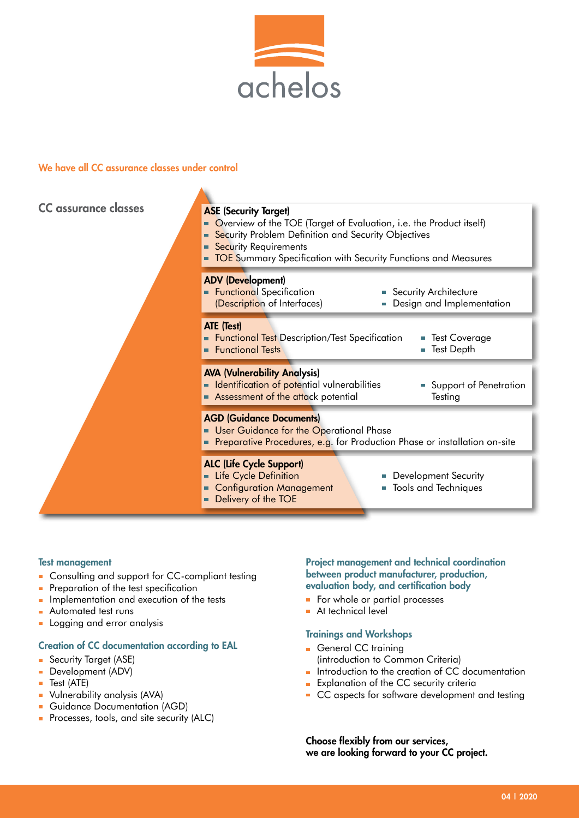

# We have all CC assurance classes under control

| CC assurance classes | <b>ASE (Security Target)</b><br>• Overview of the TOE (Target of Evaluation, i.e. the Product itself)<br>Security Problem Definition and Security Objectives<br><b>Security Requirements</b><br><b>TOE</b> Summary Specification with Security Functions and Measures |
|----------------------|-----------------------------------------------------------------------------------------------------------------------------------------------------------------------------------------------------------------------------------------------------------------------|
|                      | <b>ADV (Development)</b><br><b>Functional</b> Specification<br>• Security Architecture<br>(Description of Interfaces)<br>Design and Implementation<br>$\Box$                                                                                                          |
|                      | ATE (Test)<br><b>Functional Test</b> Description/Test Specification<br><b>Test Coverage</b><br>ш<br><b>Functional Tests</b><br><b>Test Depth</b><br>Ш                                                                                                                 |
|                      | <b>AVA (Vulnerability Analysis)</b><br><b>E</b> Identification of potential vulnerabilities<br>Support of Penetration<br>Assessment of the attack potential<br>Testing                                                                                                |
|                      | <b>AGD (Guidance Documents)</b><br>User Guidance for the Operational Phase<br><b>Preparative Procedures, e.g.</b> for Production Phase or installation on-site                                                                                                        |
|                      | <b>ALC (Life Cycle Support)</b><br>Life Cycle Definition<br><b>Development Security</b><br><b>Configuration Management</b><br><b>Tools and Techniques</b><br>L.<br>Delivery of the TOE                                                                                |

#### Test management

- **Consulting and support for CC-compliant testing**
- Preparation of the test specification
- **Implementation and execution of the tests**
- **Automated test runs**
- **Logging and error analysis**

#### Creation of CC documentation according to EAL

- **Security Target (ASE)**
- Development (ADV)
- $\blacksquare$  Test (ATE)
- Vulnerability analysis (AVA)
- Guidance Documentation (AGD)
- **Processes, tools, and site security (ALC)**

### Project management and technical coordination between product manufacturer, production, evaluation body, and certification body

- For whole or partial processes
- At technical level è

### Trainings and Workshops

- General CC training (introduction to Common Criteria)
- Introduction to the creation of CC documentation ÷
- **Explanation of the CC security criteria**
- CC aspects for software development and testing

Choose flexibly from our services, we are looking forward to your CC project.